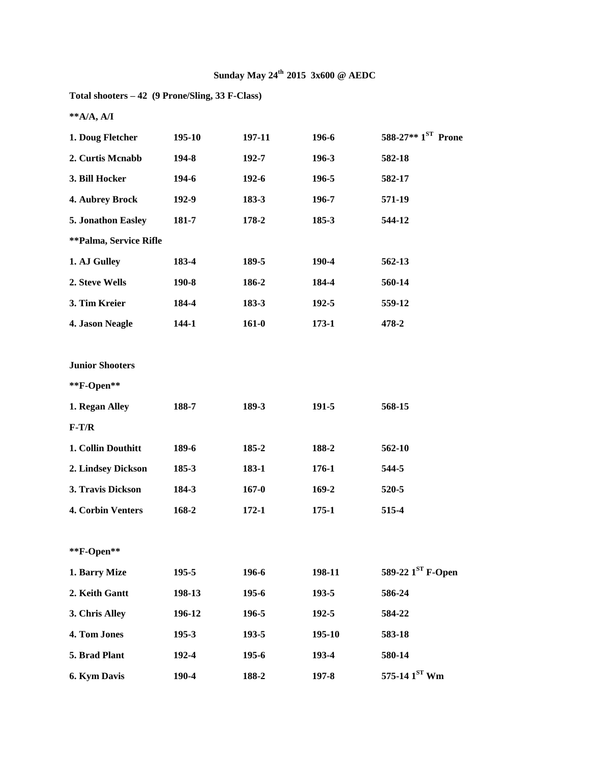| Total shooters – 42 (9 Prone/Sling, 33 F-Class) |  |  |
|-------------------------------------------------|--|--|
|-------------------------------------------------|--|--|

**\*\*A/A, A/I**

| 1. Doug Fletcher              | 195-10    | 197-11    | 196-6     | 588-27** 1ST Prone            |
|-------------------------------|-----------|-----------|-----------|-------------------------------|
| 2. Curtis Mcnabb              | 194-8     | 192-7     | 196-3     | 582-18                        |
| 3. Bill Hocker                | 194-6     | $192 - 6$ | 196-5     | 582-17                        |
| 4. Aubrey Brock               | 192-9     | 183-3     | 196-7     | 571-19                        |
| 5. Jonathon Easley            | 181-7     | 178-2     | 185-3     | 544-12                        |
| <b>**Palma, Service Rifle</b> |           |           |           |                               |
| 1. AJ Gulley                  | 183-4     | 189-5     | 190-4     | 562-13                        |
| 2. Steve Wells                | 190-8     | 186-2     | 184-4     | 560-14                        |
| 3. Tim Kreier                 | 184-4     | 183-3     | $192 - 5$ | 559-12                        |
| 4. Jason Neagle               | $144 - 1$ | $161-0$   | $173-1$   | 478-2                         |
|                               |           |           |           |                               |
| <b>Junior Shooters</b>        |           |           |           |                               |
| **F-Open**                    |           |           |           |                               |
| 1. Regan Alley                | 188-7     | 189-3     | 191-5     | 568-15                        |
| $F-T/R$                       |           |           |           |                               |
| 1. Collin Douthitt            | 189-6     | 185-2     | 188-2     | 562-10                        |
| 2. Lindsey Dickson            | $185 - 3$ | 183-1     | 176-1     | 544-5                         |
| 3. Travis Dickson             | 184-3     | $167 - 0$ | $169 - 2$ | 520-5                         |
| 4. Corbin Venters             | 168-2     | $172 - 1$ | $175 - 1$ | 515-4                         |
|                               |           |           |           |                               |
| **F-Open**                    |           |           |           |                               |
| 1. Barry Mize                 | 195-5     | 196-6     | 198-11    | 589-22 1 <sup>ST</sup> F-Open |
| 2. Keith Gantt                | 198-13    | 195-6     | 193-5     | 586-24                        |
| 3. Chris Alley                | 196-12    | 196-5     | 192-5     | 584-22                        |
| 4. Tom Jones                  | 195-3     | 193-5     | 195-10    | 583-18                        |
| 5. Brad Plant                 | 192-4     | 195-6     | 193-4     | 580-14                        |
| 6. Kym Davis                  | 190-4     | 188-2     | 197-8     | 575-14 $1ST$ Wm               |